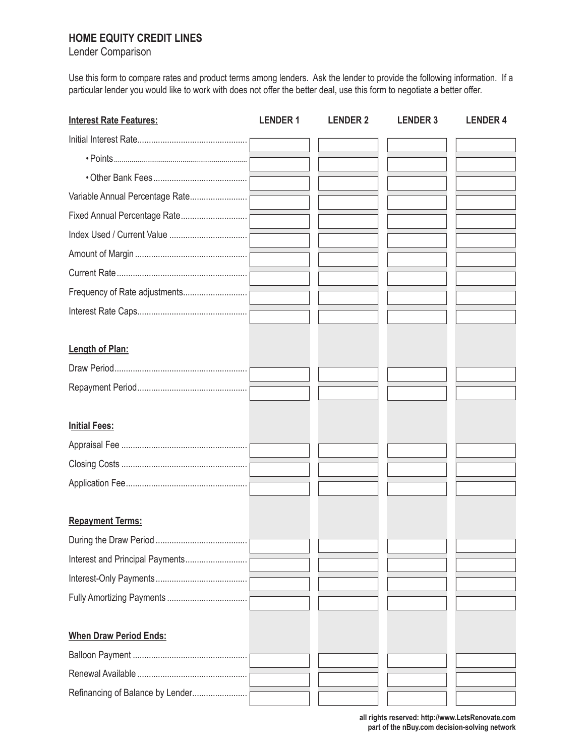## **HOME EQUITY CREDIT LINES**

Lender Comparison

Use this form to compare rates and product terms among lenders. Ask the lender to provide the following information. If a particular lender you would like to work with does not offer the better deal, use this form to negotiate a better offer.

| <b>Interest Rate Features:</b>   | <b>LENDER1</b> | <b>LENDER 2</b> | <b>LENDER 3</b> | <b>LENDER 4</b> |
|----------------------------------|----------------|-----------------|-----------------|-----------------|
|                                  |                |                 |                 |                 |
|                                  |                |                 |                 |                 |
|                                  |                |                 |                 |                 |
| Variable Annual Percentage Rate  |                |                 |                 |                 |
| Fixed Annual Percentage Rate     |                |                 |                 |                 |
|                                  |                |                 |                 |                 |
|                                  |                |                 |                 |                 |
|                                  |                |                 |                 |                 |
| Frequency of Rate adjustments    |                |                 |                 |                 |
|                                  |                |                 |                 |                 |
|                                  |                |                 |                 |                 |
| Length of Plan:                  |                |                 |                 |                 |
|                                  |                |                 |                 |                 |
|                                  |                |                 |                 |                 |
|                                  |                |                 |                 |                 |
| <b>Initial Fees:</b>             |                |                 |                 |                 |
|                                  |                |                 |                 |                 |
|                                  |                |                 |                 |                 |
|                                  |                |                 |                 |                 |
|                                  |                |                 |                 |                 |
| <b>Repayment Terms:</b>          |                |                 |                 |                 |
|                                  |                |                 |                 |                 |
| Interest and Principal Payments  |                |                 |                 |                 |
|                                  |                |                 |                 |                 |
|                                  |                |                 |                 |                 |
|                                  |                |                 |                 |                 |
| <b>When Draw Period Ends:</b>    |                |                 |                 |                 |
|                                  |                |                 |                 |                 |
|                                  |                |                 |                 |                 |
| Refinancing of Balance by Lender |                |                 |                 |                 |